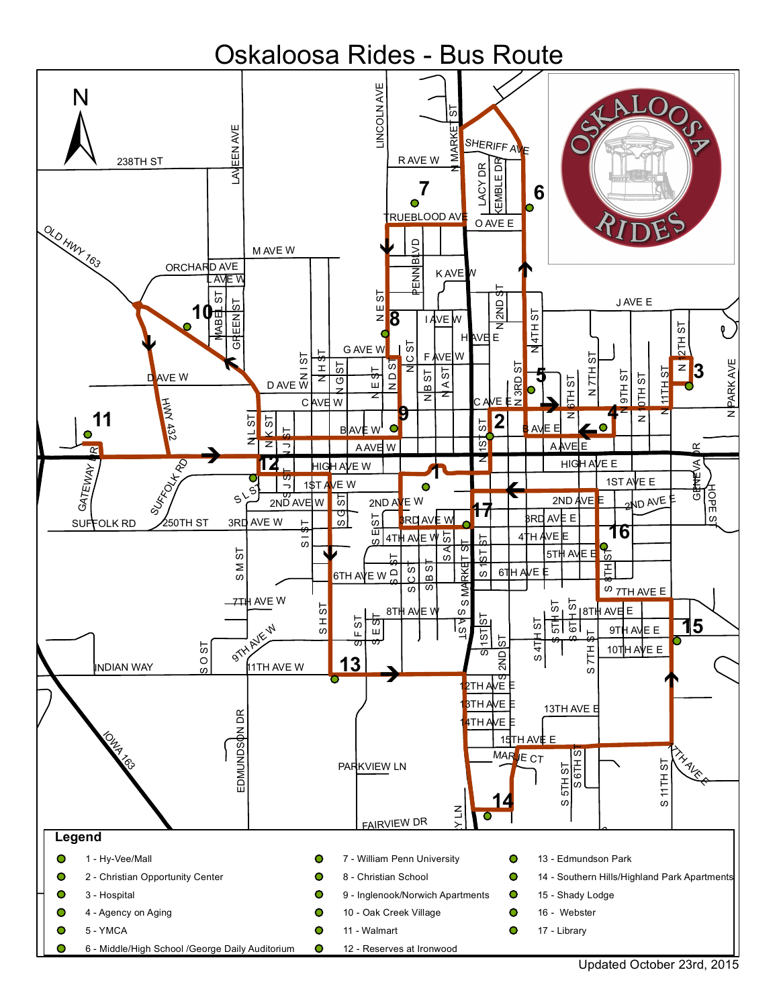# Oskaloosa Rides - Bus Route